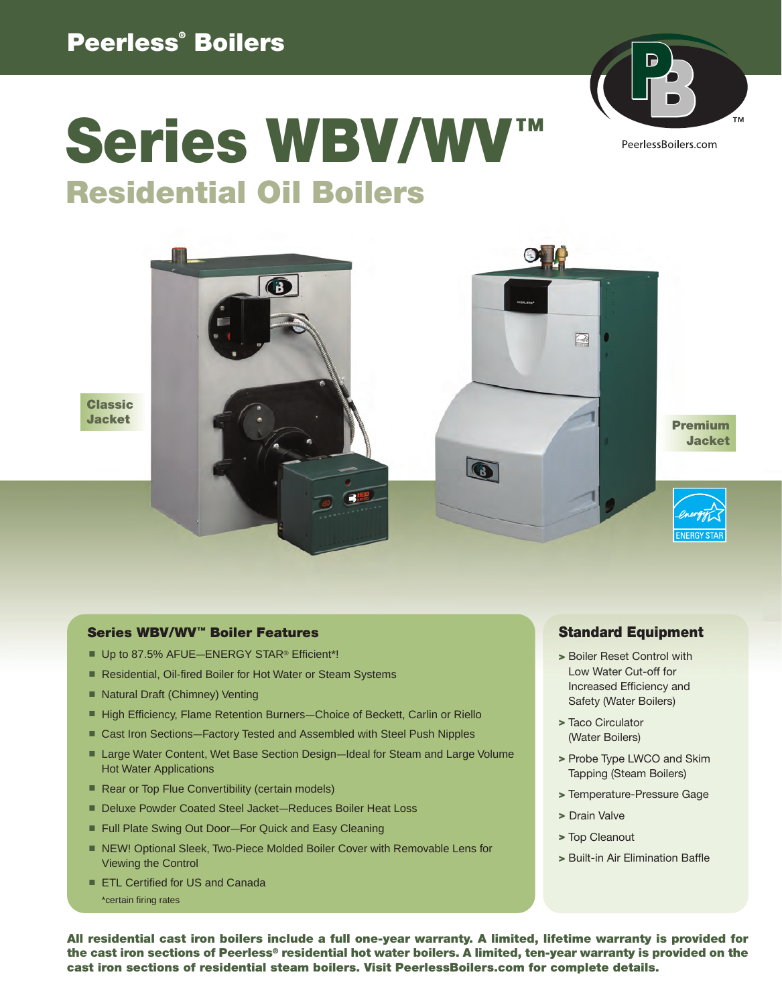### **Peerless® Boilers**



# **Series WBV/WV™ Residential Oil Boilers**



**Classic Jacket**

#### **Series WBV/WV™ Boiler Features**

- Up to 87.5% AFUE-ENERGY STAR<sup>®</sup> Efficient\*!
- Residential, Oil-fired Boiler for Hot Water or Steam Systems
- Natural Draft (Chimney) Venting
- High Efficiency, Flame Retention Burners-Choice of Beckett, Carlin or Riello
- Cast Iron Sections-Factory Tested and Assembled with Steel Push Nipples
- Large Water Content, Wet Base Section Design-Ideal for Steam and Large Volume Hot Water Applications
- Rear or Top Flue Convertibility (certain models)
- Deluxe Powder Coated Steel Jacket–Reduces Boiler Heat Loss
- Full Plate Swing Out Door-For Quick and Easy Cleaning
- NEW! Optional Sleek, Two-Piece Molded Boiler Cover with Removable Lens for Viewing the Control
- ETL Certified for US and Canada \*certain firing rates

### **Standard Equipment**

- **>** Boiler Reset Control with Low Water Cut-off for Increased Efficiency and Safety (Water Boilers)
- **>** Taco Circulator (Water Boilers)
- **>** Probe Type LWCO and Skim Tapping (Steam Boilers)
- **>** Temperature-Pressure Gage
- **>** Drain Valve
- **>** Top Cleanout
- **>** Built-in Air Elimination Baffle

**All residential cast iron boilers include a full one-year warranty. A limited, lifetime warranty is provided for the cast iron sections of Peerless® residential hot water boilers. A limited, ten-year warranty is provided on the cast iron sections of residential steam boilers. Visit PeerlessBoilers.com for complete details.**